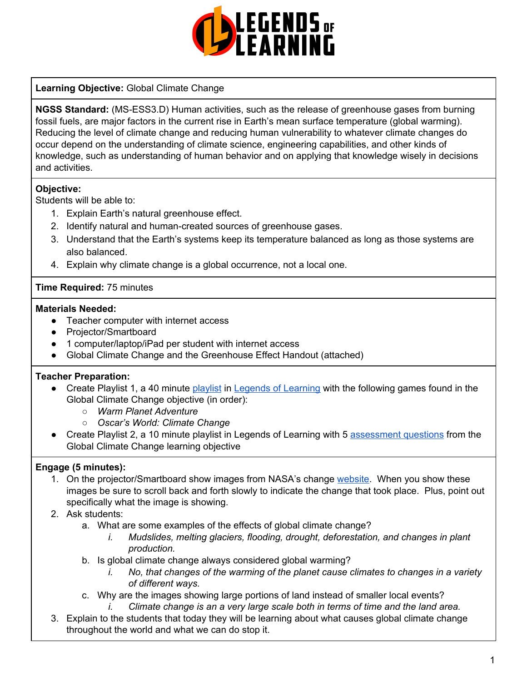

## **Learning Objective:** Global Climate Change

**NGSS Standard:** (MS-ESS3.D) Human activities, such as the release of greenhouse gases from burning fossil fuels, are major factors in the current rise in Earth's mean surface temperature (global warming). Reducing the level of climate change and reducing human vulnerability to whatever climate changes do occur depend on the understanding of climate science, engineering capabilities, and other kinds of knowledge, such as understanding of human behavior and on applying that knowledge wisely in decisions and activities.

# **Objective:**

Students will be able to:

- 1. Explain Earth's natural greenhouse effect.
- 2. Identify natural and human-created sources of greenhouse gases.
- 3. Understand that the Earth's systems keep its temperature balanced as long as those systems are also balanced.
- 4. Explain why climate change is a global occurrence, not a local one.

## **Time Required:** 75 minutes

#### **Materials Needed:**

- Teacher computer with internet access
- Projector/Smartboard
- 1 computer/laptop/iPad per student with internet access
- Global Climate Change and the Greenhouse Effect Handout (attached)

## **Teacher Preparation:**

- Create Playlist 1, a 40 minute [playlist](https://lol.desk.com/customer/en/portal/articles/2822815-creating-multiple-playlists) in Legends of [Learning](https://teachers.legendsoflearning.com/sign-in) with the following games found in the Global Climate Change objective (in order):
	- *○ Warm Planet Adventure*
	- *○ Oscar's World: Climate Change*
- Create Playlist 2, a 10 minute playlist in Legends of Learning with 5 [assessment](https://lol.desk.com/customer/en/portal/articles/2777129-adding-assessments-to-a-playlist) questions from the Global Climate Change learning objective

## **Engage (5 minutes):**

- 1. On the projector/Smartboard show images from NASA's change [website](https://climate.nasa.gov/images-of-change?id=625#625-snowpack-restored-on-californias-sierra-nevada). When you show these images be sure to scroll back and forth slowly to indicate the change that took place. Plus, point out specifically what the image is showing.
- 2. Ask students:
	- a. What are some examples of the effects of global climate change?
		- *i. Mudslides, melting glaciers, flooding, drought, deforestation, and changes in plant production.*
	- b. Is global climate change always considered global warming?
		- *i. No, that changes of the warming of the planet cause climates to changes in a variety of different ways.*
	- c. Why are the images showing large portions of land instead of smaller local events? *i. Climate change is an a very large scale both in terms of time and the land area.*
- 3. Explain to the students that today they will be learning about what causes global climate change throughout the world and what we can do stop it.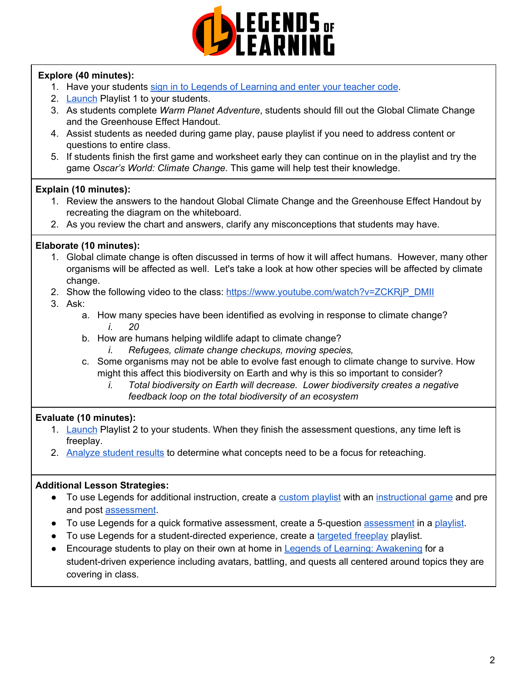

# **Explore (40 minutes):**

- 1. Have your students sign in to Legends of [Learning](https://lol.desk.com/customer/en/portal/articles/2809984-students-joining-a-playlist) and enter your teacher code.
- 2. [Launch](https://lol.desk.com/customer/en/portal/articles/2822815-creating-multiple-playlists) Playlist 1 to your students.
- 3. As students complete *Warm Planet Adventure*, students should fill out the Global Climate Change and the Greenhouse Effect Handout.
- 4. Assist students as needed during game play, pause playlist if you need to address content or questions to entire class.
- 5. If students finish the first game and worksheet early they can continue on in the playlist and try the game *Oscar's World: Climate Change*. This game will help test their knowledge.

## **Explain (10 minutes):**

- 1. Review the answers to the handout Global Climate Change and the Greenhouse Effect Handout by recreating the diagram on the whiteboard.
- 2. As you review the chart and answers, clarify any misconceptions that students may have.

## **Elaborate (10 minutes):**

- 1. Global climate change is often discussed in terms of how it will affect humans. However, many other organisms will be affected as well. Let's take a look at how other species will be affected by climate change.
- 2. Show the following video to the class: [https://www.youtube.com/watch?v=ZCKRjP\\_DMII](https://www.youtube.com/watch?v=ZCKRjP_DMII)
- 3. Ask:
	- a. How many species have been identified as evolving in response to climate change? *i. 20*
	- b. How are humans helping wildlife adapt to climate change?
		- *i. Refugees, climate change checkups, moving species,*
	- c. Some organisms may not be able to evolve fast enough to climate change to survive. How might this affect this biodiversity on Earth and why is this so important to consider?
		- *i. Total biodiversity on Earth will decrease. Lower biodiversity creates a negative feedback loop on the total biodiversity of an ecosystem*

## **Evaluate (10 minutes):**

- 1. [Launch](https://lol.desk.com/customer/en/portal/articles/2822815-creating-multiple-playlists) Playlist 2 to your students. When they finish the assessment questions, any time left is freeplay.
- 2. [Analyze](https://lol.desk.com/customer/en/portal/articles/2787419-tracking-student-progress-and-performance) student results to determine what concepts need to be a focus for reteaching.

## **Additional Lesson Strategies:**

- To use Legends for additional instruction, create a [custom](https://intercom.help/legends-of-learning/en/articles/2154910-creating-a-playlist) playlist with an [instructional](https://intercom.help/legends-of-learning/en/articles/3505828-types-of-games) game and pre and post [assessment](https://intercom.help/legends-of-learning/en/articles/2154913-adding-assessments-to-a-playlist).
- To use Legends for a quick formative [assessment](https://intercom.help/legends-of-learning/en/articles/2154913-adding-assessments-to-a-playlist), create a 5-question assessment in a [playlist](https://intercom.help/legends-of-learning/en/articles/2154910-creating-a-playlist).
- To use Legends for a student-directed experience, create a [targeted](https://intercom.help/legends-of-learning/en/articles/3340814-targeted-freeplay) freeplay playlist.
- Encourage students to play on their own at home in Legends of Learning: [Awakening](https://intercom.help/legends-of-learning/en/articles/2425490-legends-of-learning-awakening) for a student-driven experience including avatars, battling, and quests all centered around topics they are covering in class.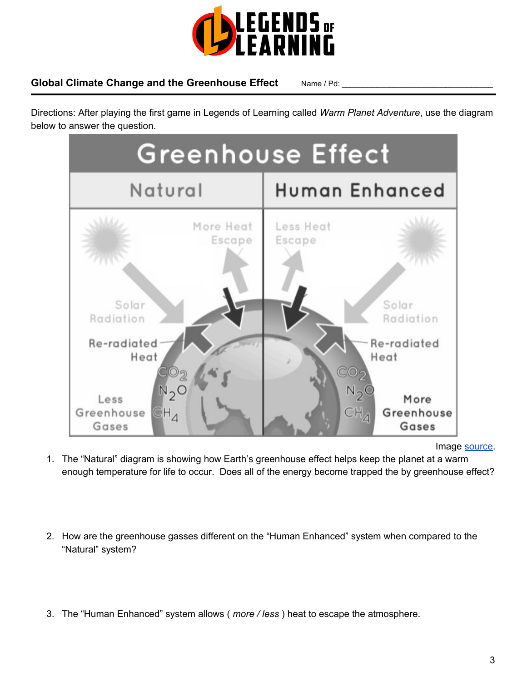

# Global Climate Change and the Greenhouse Effect Name / Pd:

Directions: After playing the first game in Legends of Learning called *Warm Planet Adventure*, use the diagram below to answer the question.



Image [source.](http://www.thecompetitionworld.com/2014/11/global-warming-enhanced-greenhouse.html)

- 1. The "Natural" diagram is showing how Earth's greenhouse effect helps keep the planet at a warm enough temperature for life to occur. Does all of the energy become trapped the by greenhouse effect?
- 2. How are the greenhouse gasses different on the "Human Enhanced" system when compared to the "Natural" system?
- 3. The "Human Enhanced" system allows ( *more / less* ) heat to escape the atmosphere.